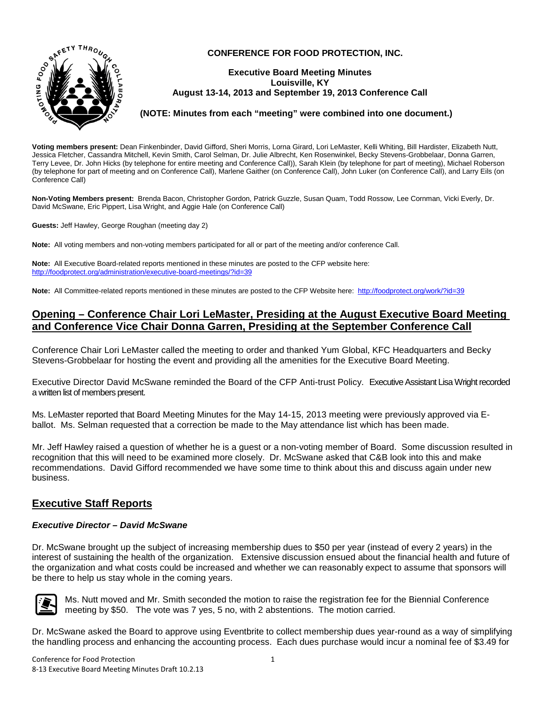

#### **CONFERENCE FOR FOOD PROTECTION, INC.**

#### **Executive Board Meeting Minutes Louisville, KY August 13-14, 2013 and September 19, 2013 Conference Call**

#### **(NOTE: Minutes from each "meeting" were combined into one document.)**

**Voting members present:** Dean Finkenbinder, David Gifford, Sheri Morris, Lorna Girard, Lori LeMaster, Kelli Whiting, Bill Hardister, Elizabeth Nutt, Jessica Fletcher, Cassandra Mitchell, Kevin Smith, Carol Selman, Dr. Julie Albrecht, Ken Rosenwinkel, Becky Stevens-Grobbelaar, Donna Garren, Terry Levee, Dr. John Hicks (by telephone for entire meeting and Conference Call)), Sarah Klein (by telephone for part of meeting), Michael Roberson (by telephone for part of meeting and on Conference Call), Marlene Gaither (on Conference Call), John Luker (on Conference Call), and Larry Eils (on Conference Call)

**Non-Voting Members present:** Brenda Bacon, Christopher Gordon, Patrick Guzzle, Susan Quam, Todd Rossow, Lee Cornman, Vicki Everly, Dr. David McSwane, Eric Pippert, Lisa Wright, and Aggie Hale (on Conference Call)

**Guests:** Jeff Hawley, George Roughan (meeting day 2)

**Note:** All voting members and non-voting members participated for all or part of the meeting and/or conference Call.

**Note:** All Executive Board-related reports mentioned in these minutes are posted to the CFP website here: <http://foodprotect.org/administration/executive-board-meetings/?id=39>

**Note:** All Committee-related reports mentioned in these minutes are posted to the CFP Website here:<http://foodprotect.org/work/?id=39>

# **Opening – Conference Chair Lori LeMaster, Presiding at the August Executive Board Meeting and Conference Vice Chair Donna Garren, Presiding at the September Conference Call**

Conference Chair Lori LeMaster called the meeting to order and thanked Yum Global, KFC Headquarters and Becky Stevens-Grobbelaar for hosting the event and providing all the amenities for the Executive Board Meeting.

Executive Director David McSwane reminded the Board of the CFP Anti-trust Policy. Executive Assistant Lisa Wright recorded a written list of members present.

Ms. LeMaster reported that Board Meeting Minutes for the May 14-15, 2013 meeting were previously approved via Eballot. Ms. Selman requested that a correction be made to the May attendance list which has been made.

Mr. Jeff Hawley raised a question of whether he is a guest or a non-voting member of Board. Some discussion resulted in recognition that this will need to be examined more closely. Dr. McSwane asked that C&B look into this and make recommendations. David Gifford recommended we have some time to think about this and discuss again under new business.

# **Executive Staff Reports**

#### *Executive Director – David McSwane*

Dr. McSwane brought up the subject of increasing membership dues to \$50 per year (instead of every 2 years) in the interest of sustaining the health of the organization. Extensive discussion ensued about the financial health and future of the organization and what costs could be increased and whether we can reasonably expect to assume that sponsors will be there to help us stay whole in the coming years.



Ms. Nutt moved and Mr. Smith seconded the motion to raise the registration fee for the Biennial Conference meeting by \$50. The vote was 7 yes, 5 no, with 2 abstentions. The motion carried.

Dr. McSwane asked the Board to approve using Eventbrite to collect membership dues year-round as a way of simplifying the handling process and enhancing the accounting process. Each dues purchase would incur a nominal fee of \$3.49 for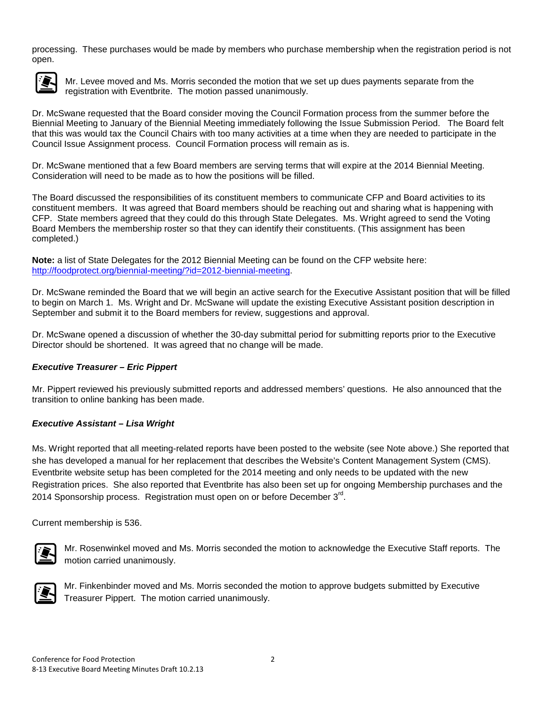processing. These purchases would be made by members who purchase membership when the registration period is not open.



Mr. Levee moved and Ms. Morris seconded the motion that we set up dues payments separate from the registration with Eventbrite. The motion passed unanimously.

Dr. McSwane requested that the Board consider moving the Council Formation process from the summer before the Biennial Meeting to January of the Biennial Meeting immediately following the Issue Submission Period. The Board felt that this was would tax the Council Chairs with too many activities at a time when they are needed to participate in the Council Issue Assignment process. Council Formation process will remain as is.

Dr. McSwane mentioned that a few Board members are serving terms that will expire at the 2014 Biennial Meeting. Consideration will need to be made as to how the positions will be filled.

The Board discussed the responsibilities of its constituent members to communicate CFP and Board activities to its constituent members. It was agreed that Board members should be reaching out and sharing what is happening with CFP. State members agreed that they could do this through State Delegates. Ms. Wright agreed to send the Voting Board Members the membership roster so that they can identify their constituents. (This assignment has been completed.)

**Note:** a list of State Delegates for the 2012 Biennial Meeting can be found on the CFP website here: [http://foodprotect.org/biennial-meeting/?id=2012-biennial-meeting.](http://foodprotect.org/biennial-meeting/?id=2012-biennial-meeting)

Dr. McSwane reminded the Board that we will begin an active search for the Executive Assistant position that will be filled to begin on March 1. Ms. Wright and Dr. McSwane will update the existing Executive Assistant position description in September and submit it to the Board members for review, suggestions and approval.

Dr. McSwane opened a discussion of whether the 30-day submittal period for submitting reports prior to the Executive Director should be shortened. It was agreed that no change will be made.

### *Executive Treasurer – Eric Pippert*

Mr. Pippert reviewed his previously submitted reports and addressed members' questions. He also announced that the transition to online banking has been made.

### *Executive Assistant – Lisa Wright*

Ms. Wright reported that all meeting-related reports have been posted to the website (see Note above.) She reported that she has developed a manual for her replacement that describes the Website's Content Management System (CMS). Eventbrite website setup has been completed for the 2014 meeting and only needs to be updated with the new Registration prices. She also reported that Eventbrite has also been set up for ongoing Membership purchases and the 2014 Sponsorship process. Registration must open on or before December  $3<sup>rd</sup>$ .

Current membership is 536.



Mr. Rosenwinkel moved and Ms. Morris seconded the motion to acknowledge the Executive Staff reports. The motion carried unanimously.



Mr. Finkenbinder moved and Ms. Morris seconded the motion to approve budgets submitted by Executive Treasurer Pippert. The motion carried unanimously.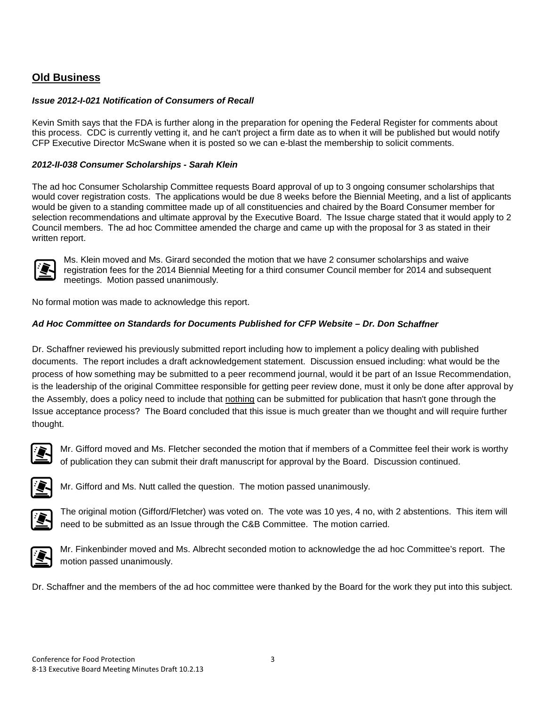# **Old Business**

### *Issue 2012-I-021 Notification of Consumers of Recall*

Kevin Smith says that the FDA is further along in the preparation for opening the Federal Register for comments about this process. CDC is currently vetting it, and he can't project a firm date as to when it will be published but would notify CFP Executive Director McSwane when it is posted so we can e-blast the membership to solicit comments.

### *2012-II-038 Consumer Scholarships - Sarah Klein*

The ad hoc Consumer Scholarship Committee requests Board approval of up to 3 ongoing consumer scholarships that would cover registration costs. The applications would be due 8 weeks before the Biennial Meeting, and a list of applicants would be given to a standing committee made up of all constituencies and chaired by the Board Consumer member for selection recommendations and ultimate approval by the Executive Board. The Issue charge stated that it would apply to 2 Council members. The ad hoc Committee amended the charge and came up with the proposal for 3 as stated in their written report.



Ms. Klein moved and Ms. Girard seconded the motion that we have 2 consumer scholarships and waive registration fees for the 2014 Biennial Meeting for a third consumer Council member for 2014 and subsequent meetings. Motion passed unanimously.

No formal motion was made to acknowledge this report.

# *Ad Hoc Committee on Standards for Documents Published for CFP Website – Dr. Don Schaffner*

Dr. Schaffner reviewed his previously submitted report including how to implement a policy dealing with published documents. The report includes a draft acknowledgement statement. Discussion ensued including: what would be the process of how something may be submitted to a peer recommend journal, would it be part of an Issue Recommendation, is the leadership of the original Committee responsible for getting peer review done, must it only be done after approval by the Assembly, does a policy need to include that nothing can be submitted for publication that hasn't gone through the Issue acceptance process? The Board concluded that this issue is much greater than we thought and will require further thought.



Mr. Gifford moved and Ms. Fletcher seconded the motion that if members of a Committee feel their work is worthy of publication they can submit their draft manuscript for approval by the Board. Discussion continued.



Mr. Gifford and Ms. Nutt called the question. The motion passed unanimously.



The original motion (Gifford/Fletcher) was voted on. The vote was 10 yes, 4 no, with 2 abstentions. This item will need to be submitted as an Issue through the C&B Committee. The motion carried.



Mr. Finkenbinder moved and Ms. Albrecht seconded motion to acknowledge the ad hoc Committee's report. The motion passed unanimously.

Dr. Schaffner and the members of the ad hoc committee were thanked by the Board for the work they put into this subject.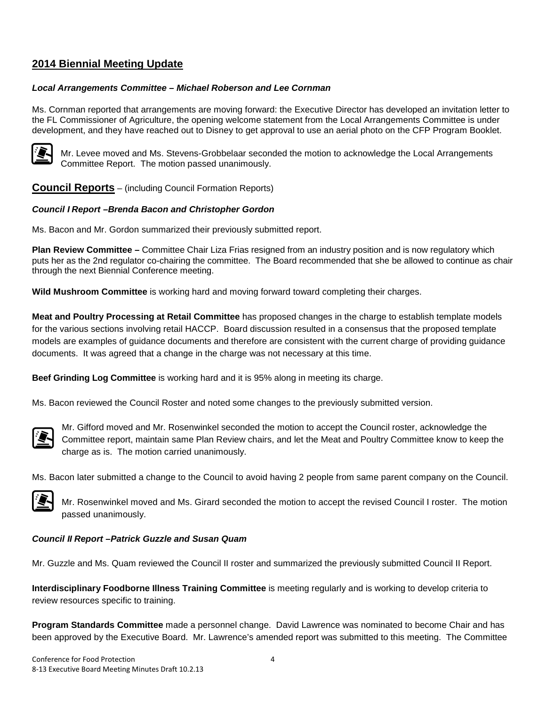# **2014 Biennial Meeting Update**

#### *Local Arrangements Committee – Michael Roberson and Lee Cornman*

Ms. Cornman reported that arrangements are moving forward: the Executive Director has developed an invitation letter to the FL Commissioner of Agriculture, the opening welcome statement from the Local Arrangements Committee is under development, and they have reached out to Disney to get approval to use an aerial photo on the CFP Program Booklet.



Mr. Levee moved and Ms. Stevens-Grobbelaar seconded the motion to acknowledge the Local Arrangements Committee Report. The motion passed unanimously.

**Council Reports** – (including Council Formation Reports)

### *Council I Report –Brenda Bacon and Christopher Gordon*

Ms. Bacon and Mr. Gordon summarized their previously submitted report.

**Plan Review Committee –** Committee Chair Liza Frias resigned from an industry position and is now regulatory which puts her as the 2nd regulator co-chairing the committee. The Board recommended that she be allowed to continue as chair through the next Biennial Conference meeting.

**Wild Mushroom Committee** is working hard and moving forward toward completing their charges.

**Meat and Poultry Processing at Retail Committee** has proposed changes in the charge to establish template models for the various sections involving retail HACCP. Board discussion resulted in a consensus that the proposed template models are examples of guidance documents and therefore are consistent with the current charge of providing guidance documents. It was agreed that a change in the charge was not necessary at this time.

**Beef Grinding Log Committee** is working hard and it is 95% along in meeting its charge.

Ms. Bacon reviewed the Council Roster and noted some changes to the previously submitted version.



Mr. Gifford moved and Mr. Rosenwinkel seconded the motion to accept the Council roster, acknowledge the Committee report, maintain same Plan Review chairs, and let the Meat and Poultry Committee know to keep the charge as is. The motion carried unanimously.

Ms. Bacon later submitted a change to the Council to avoid having 2 people from same parent company on the Council.



Mr. Rosenwinkel moved and Ms. Girard seconded the motion to accept the revised Council I roster. The motion passed unanimously.

### *Council II Report –Patrick Guzzle and Susan Quam*

Mr. Guzzle and Ms. Quam reviewed the Council II roster and summarized the previously submitted Council II Report.

**Interdisciplinary Foodborne Illness Training Committee** is meeting regularly and is working to develop criteria to review resources specific to training.

**Program Standards Committee** made a personnel change. David Lawrence was nominated to become Chair and has been approved by the Executive Board. Mr. Lawrence's amended report was submitted to this meeting. The Committee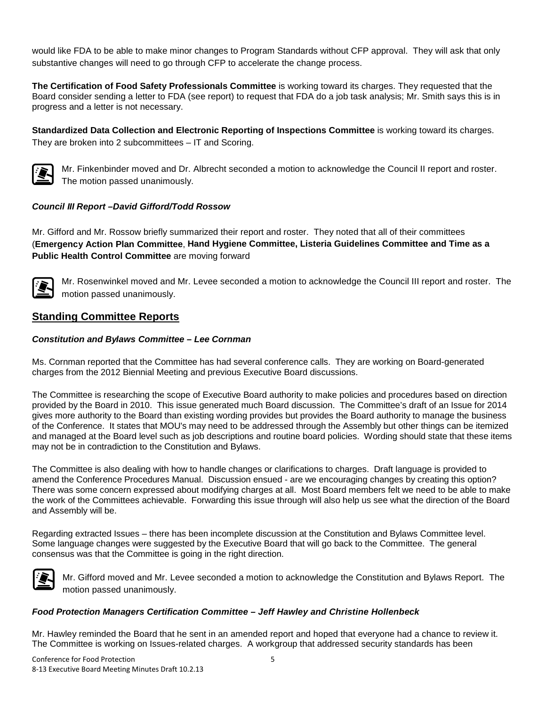would like FDA to be able to make minor changes to Program Standards without CFP approval. They will ask that only substantive changes will need to go through CFP to accelerate the change process.

**The Certification of Food Safety Professionals Committee** is working toward its charges. They requested that the Board consider sending a letter to FDA (see report) to request that FDA do a job task analysis; Mr. Smith says this is in progress and a letter is not necessary.

**Standardized Data Collection and Electronic Reporting of Inspections Committee** is working toward its charges. They are broken into 2 subcommittees – IT and Scoring.



Mr. Finkenbinder moved and Dr. Albrecht seconded a motion to acknowledge the Council II report and roster. The motion passed unanimously.

# *Council III Report –David Gifford/Todd Rossow*

Mr. Gifford and Mr. Rossow briefly summarized their report and roster. They noted that all of their committees (**Emergency Action Plan Committee**, **Hand Hygiene Committee, Listeria Guidelines Committee and Time as a Public Health Control Committee** are moving forward



Mr. Rosenwinkel moved and Mr. Levee seconded a motion to acknowledge the Council III report and roster. The motion passed unanimously.

# **Standing Committee Reports**

### *Constitution and Bylaws Committee – Lee Cornman*

Ms. Cornman reported that the Committee has had several conference calls. They are working on Board-generated charges from the 2012 Biennial Meeting and previous Executive Board discussions.

The Committee is researching the scope of Executive Board authority to make policies and procedures based on direction provided by the Board in 2010. This issue generated much Board discussion. The Committee's draft of an Issue for 2014 gives more authority to the Board than existing wording provides but provides the Board authority to manage the business of the Conference. It states that MOU's may need to be addressed through the Assembly but other things can be itemized and managed at the Board level such as job descriptions and routine board policies. Wording should state that these items may not be in contradiction to the Constitution and Bylaws.

The Committee is also dealing with how to handle changes or clarifications to charges. Draft language is provided to amend the Conference Procedures Manual. Discussion ensued - are we encouraging changes by creating this option? There was some concern expressed about modifying charges at all. Most Board members felt we need to be able to make the work of the Committees achievable. Forwarding this issue through will also help us see what the direction of the Board and Assembly will be.

Regarding extracted Issues – there has been incomplete discussion at the Constitution and Bylaws Committee level. Some language changes were suggested by the Executive Board that will go back to the Committee. The general consensus was that the Committee is going in the right direction.



Mr. Gifford moved and Mr. Levee seconded a motion to acknowledge the Constitution and Bylaws Report. The motion passed unanimously.

### *Food Protection Managers Certification Committee – Jeff Hawley and Christine Hollenbeck*

Mr. Hawley reminded the Board that he sent in an amended report and hoped that everyone had a chance to review it. The Committee is working on Issues-related charges. A workgroup that addressed security standards has been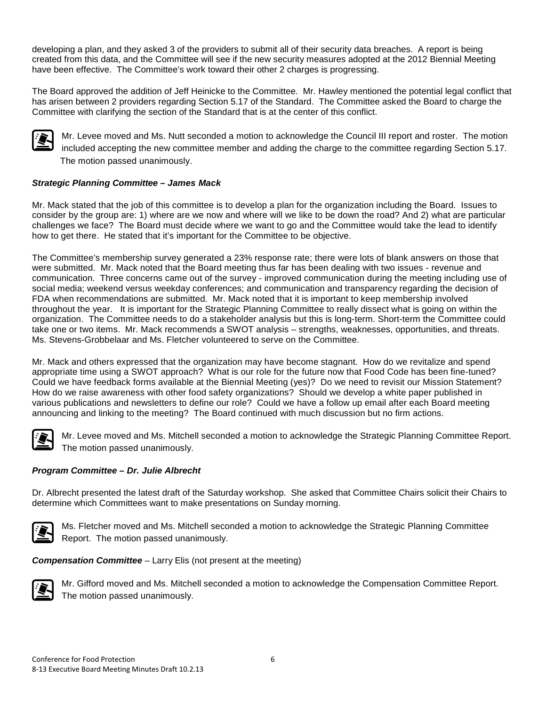developing a plan, and they asked 3 of the providers to submit all of their security data breaches. A report is being created from this data, and the Committee will see if the new security measures adopted at the 2012 Biennial Meeting have been effective. The Committee's work toward their other 2 charges is progressing.

The Board approved the addition of Jeff Heinicke to the Committee. Mr. Hawley mentioned the potential legal conflict that has arisen between 2 providers regarding Section 5.17 of the Standard. The Committee asked the Board to charge the Committee with clarifying the section of the Standard that is at the center of this conflict.



Mr. Levee moved and Ms. Nutt seconded a motion to acknowledge the Council III report and roster. The motion included accepting the new committee member and adding the charge to the committee regarding Section 5.17. The motion passed unanimously.

# *Strategic Planning Committee – James Mack*

Mr. Mack stated that the job of this committee is to develop a plan for the organization including the Board. Issues to consider by the group are: 1) where are we now and where will we like to be down the road? And 2) what are particular challenges we face? The Board must decide where we want to go and the Committee would take the lead to identify how to get there. He stated that it's important for the Committee to be objective.

The Committee's membership survey generated a 23% response rate; there were lots of blank answers on those that were submitted. Mr. Mack noted that the Board meeting thus far has been dealing with two issues - revenue and communication. Three concerns came out of the survey - improved communication during the meeting including use of social media; weekend versus weekday conferences; and communication and transparency regarding the decision of FDA when recommendations are submitted. Mr. Mack noted that it is important to keep membership involved throughout the year. It is important for the Strategic Planning Committee to really dissect what is going on within the organization. The Committee needs to do a stakeholder analysis but this is long-term. Short-term the Committee could take one or two items. Mr. Mack recommends a SWOT analysis – strengths, weaknesses, opportunities, and threats. Ms. Stevens-Grobbelaar and Ms. Fletcher volunteered to serve on the Committee.

Mr. Mack and others expressed that the organization may have become stagnant. How do we revitalize and spend appropriate time using a SWOT approach? What is our role for the future now that Food Code has been fine-tuned? Could we have feedback forms available at the Biennial Meeting (yes)? Do we need to revisit our Mission Statement? How do we raise awareness with other food safety organizations? Should we develop a white paper published in various publications and newsletters to define our role? Could we have a follow up email after each Board meeting announcing and linking to the meeting? The Board continued with much discussion but no firm actions.



Mr. Levee moved and Ms. Mitchell seconded a motion to acknowledge the Strategic Planning Committee Report. The motion passed unanimously.

### *Program Committee – Dr. Julie Albrecht*

Dr. Albrecht presented the latest draft of the Saturday workshop. She asked that Committee Chairs solicit their Chairs to determine which Committees want to make presentations on Sunday morning.



Ms. Fletcher moved and Ms. Mitchell seconded a motion to acknowledge the Strategic Planning Committee Report. The motion passed unanimously.

*Compensation Committee* – Larry Elis (not present at the meeting)



Mr. Gifford moved and Ms. Mitchell seconded a motion to acknowledge the Compensation Committee Report. The motion passed unanimously.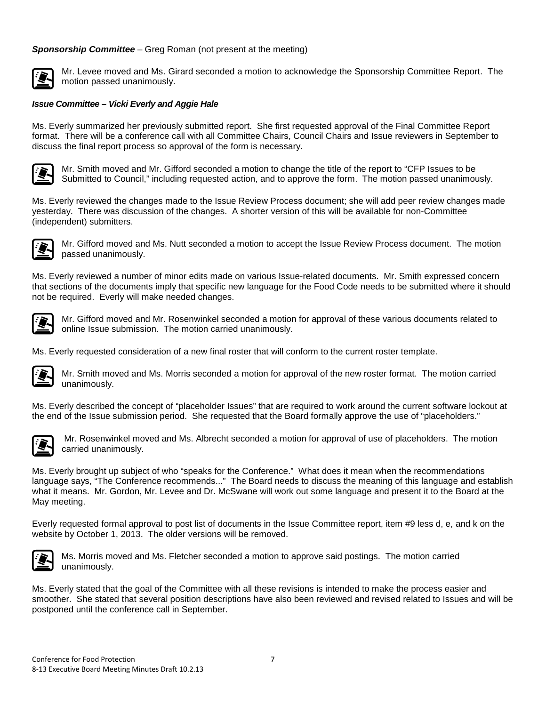#### *Sponsorship Committee* – Greg Roman (not present at the meeting)



Mr. Levee moved and Ms. Girard seconded a motion to acknowledge the Sponsorship Committee Report. The motion passed unanimously.

#### *Issue Committee – Vicki Everly and Aggie Hale*

Ms. Everly summarized her previously submitted report. She first requested approval of the Final Committee Report format. There will be a conference call with all Committee Chairs, Council Chairs and Issue reviewers in September to discuss the final report process so approval of the form is necessary.



Mr. Smith moved and Mr. Gifford seconded a motion to change the title of the report to "CFP Issues to be Submitted to Council," including requested action, and to approve the form. The motion passed unanimously.

Ms. Everly reviewed the changes made to the Issue Review Process document; she will add peer review changes made yesterday. There was discussion of the changes. A shorter version of this will be available for non-Committee (independent) submitters.



Mr. Gifford moved and Ms. Nutt seconded a motion to accept the Issue Review Process document. The motion passed unanimously.

Ms. Everly reviewed a number of minor edits made on various Issue-related documents. Mr. Smith expressed concern that sections of the documents imply that specific new language for the Food Code needs to be submitted where it should not be required. Everly will make needed changes.



Mr. Gifford moved and Mr. Rosenwinkel seconded a motion for approval of these various documents related to online Issue submission. The motion carried unanimously.

Ms. Everly requested consideration of a new final roster that will conform to the current roster template.



Mr. Smith moved and Ms. Morris seconded a motion for approval of the new roster format. The motion carried unanimously.

Ms. Everly described the concept of "placeholder Issues" that are required to work around the current software lockout at the end of the Issue submission period. She requested that the Board formally approve the use of "placeholders."



Mr. Rosenwinkel moved and Ms. Albrecht seconded a motion for approval of use of placeholders. The motion carried unanimously.

Ms. Everly brought up subject of who "speaks for the Conference." What does it mean when the recommendations language says, "The Conference recommends..." The Board needs to discuss the meaning of this language and establish what it means. Mr. Gordon, Mr. Levee and Dr. McSwane will work out some language and present it to the Board at the May meeting.

Everly requested formal approval to post list of documents in the Issue Committee report, item #9 less d, e, and k on the website by October 1, 2013. The older versions will be removed.



Ms. Morris moved and Ms. Fletcher seconded a motion to approve said postings. The motion carried unanimously.

Ms. Everly stated that the goal of the Committee with all these revisions is intended to make the process easier and smoother. She stated that several position descriptions have also been reviewed and revised related to Issues and will be postponed until the conference call in September.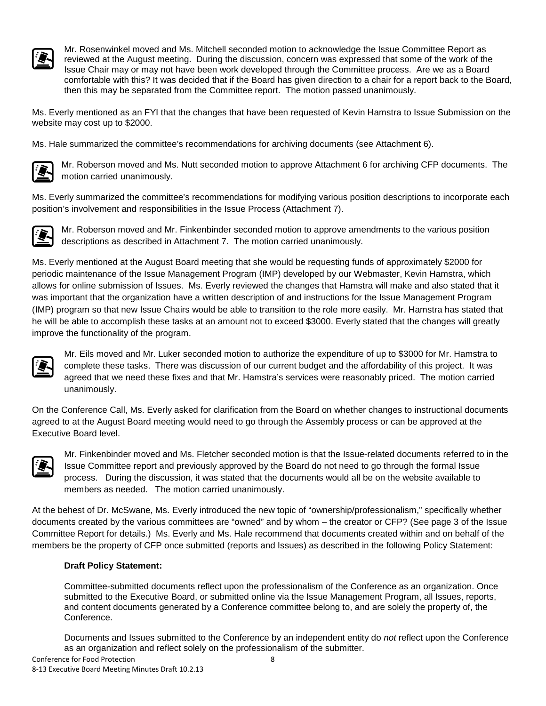

Mr. Rosenwinkel moved and Ms. Mitchell seconded motion to acknowledge the Issue Committee Report as reviewed at the August meeting. During the discussion, concern was expressed that some of the work of the Issue Chair may or may not have been work developed through the Committee process. Are we as a Board comfortable with this? It was decided that if the Board has given direction to a chair for a report back to the Board, then this may be separated from the Committee report. The motion passed unanimously.

Ms. Everly mentioned as an FYI that the changes that have been requested of Kevin Hamstra to Issue Submission on the website may cost up to \$2000.

Ms. Hale summarized the committee's recommendations for archiving documents (see Attachment 6).



Mr. Roberson moved and Ms. Nutt seconded motion to approve Attachment 6 for archiving CFP documents. The motion carried unanimously.

Ms. Everly summarized the committee's recommendations for modifying various position descriptions to incorporate each position's involvement and responsibilities in the Issue Process (Attachment 7).



Mr. Roberson moved and Mr. Finkenbinder seconded motion to approve amendments to the various position descriptions as described in Attachment 7. The motion carried unanimously.

Ms. Everly mentioned at the August Board meeting that she would be requesting funds of approximately \$2000 for periodic maintenance of the Issue Management Program (IMP) developed by our Webmaster, Kevin Hamstra, which allows for online submission of Issues. Ms. Everly reviewed the changes that Hamstra will make and also stated that it was important that the organization have a written description of and instructions for the Issue Management Program (IMP) program so that new Issue Chairs would be able to transition to the role more easily. Mr. Hamstra has stated that he will be able to accomplish these tasks at an amount not to exceed \$3000. Everly stated that the changes will greatly improve the functionality of the program.



Mr. Eils moved and Mr. Luker seconded motion to authorize the expenditure of up to \$3000 for Mr. Hamstra to complete these tasks. There was discussion of our current budget and the affordability of this project. It was agreed that we need these fixes and that Mr. Hamstra's services were reasonably priced. The motion carried unanimously.

On the Conference Call, Ms. Everly asked for clarification from the Board on whether changes to instructional documents agreed to at the August Board meeting would need to go through the Assembly process or can be approved at the Executive Board level.



Mr. Finkenbinder moved and Ms. Fletcher seconded motion is that the Issue-related documents referred to in the Issue Committee report and previously approved by the Board do not need to go through the formal Issue process. During the discussion, it was stated that the documents would all be on the website available to members as needed. The motion carried unanimously.

At the behest of Dr. McSwane, Ms. Everly introduced the new topic of "ownership/professionalism," specifically whether documents created by the various committees are "owned" and by whom – the creator or CFP? (See page 3 of the Issue Committee Report for details.) Ms. Everly and Ms. Hale recommend that documents created within and on behalf of the members be the property of CFP once submitted (reports and Issues) as described in the following Policy Statement:

### **Draft Policy Statement:**

Committee-submitted documents reflect upon the professionalism of the Conference as an organization. Once submitted to the Executive Board, or submitted online via the Issue Management Program, all Issues, reports, and content documents generated by a Conference committee belong to, and are solely the property of, the Conference.

Documents and Issues submitted to the Conference by an independent entity do *not* reflect upon the Conference as an organization and reflect solely on the professionalism of the submitter.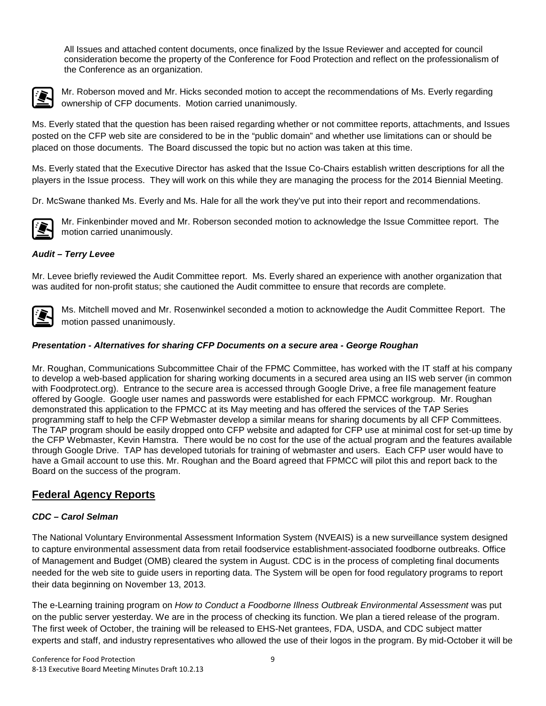All Issues and attached content documents, once finalized by the Issue Reviewer and accepted for council consideration become the property of the Conference for Food Protection and reflect on the professionalism of the Conference as an organization.



Mr. Roberson moved and Mr. Hicks seconded motion to accept the recommendations of Ms. Everly regarding ownership of CFP documents. Motion carried unanimously.

Ms. Everly stated that the question has been raised regarding whether or not committee reports, attachments, and Issues posted on the CFP web site are considered to be in the "public domain" and whether use limitations can or should be placed on those documents. The Board discussed the topic but no action was taken at this time.

Ms. Everly stated that the Executive Director has asked that the Issue Co-Chairs establish written descriptions for all the players in the Issue process. They will work on this while they are managing the process for the 2014 Biennial Meeting.

Dr. McSwane thanked Ms. Everly and Ms. Hale for all the work they've put into their report and recommendations.



Mr. Finkenbinder moved and Mr. Roberson seconded motion to acknowledge the Issue Committee report. The motion carried unanimously.

# *Audit – Terry Levee*

Mr. Levee briefly reviewed the Audit Committee report. Ms. Everly shared an experience with another organization that was audited for non-profit status; she cautioned the Audit committee to ensure that records are complete.



Ms. Mitchell moved and Mr. Rosenwinkel seconded a motion to acknowledge the Audit Committee Report. The motion passed unanimously.

### *Presentation - Alternatives for sharing CFP Documents on a secure area - George Roughan*

Mr. Roughan, Communications Subcommittee Chair of the FPMC Committee, has worked with the IT staff at his company to develop a web-based application for sharing working documents in a secured area using an IIS web server (in common with Foodprotect.org). Entrance to the secure area is accessed through Google Drive, a free file management feature offered by Google. Google user names and passwords were established for each FPMCC workgroup. Mr. Roughan demonstrated this application to the FPMCC at its May meeting and has offered the services of the TAP Series programming staff to help the CFP Webmaster develop a similar means for sharing documents by all CFP Committees. The TAP program should be easily dropped onto CFP website and adapted for CFP use at minimal cost for set-up time by the CFP Webmaster, Kevin Hamstra. There would be no cost for the use of the actual program and the features available through Google Drive. TAP has developed tutorials for training of webmaster and users. Each CFP user would have to have a Gmail account to use this. Mr. Roughan and the Board agreed that FPMCC will pilot this and report back to the Board on the success of the program.

# **Federal Agency Reports**

### *CDC – Carol Selman*

The National Voluntary Environmental Assessment Information System (NVEAIS) is a new surveillance system designed to capture environmental assessment data from retail foodservice establishment-associated foodborne outbreaks. Office of Management and Budget (OMB) cleared the system in August. CDC is in the process of completing final documents needed for the web site to guide users in reporting data. The System will be open for food regulatory programs to report their data beginning on November 13, 2013.

The e-Learning training program on *How to Conduct a Foodborne Illness Outbreak Environmental Assessment* was put on the public server yesterday. We are in the process of checking its function. We plan a tiered release of the program. The first week of October, the training will be released to EHS-Net grantees, FDA, USDA, and CDC subject matter experts and staff, and industry representatives who allowed the use of their logos in the program. By mid-October it will be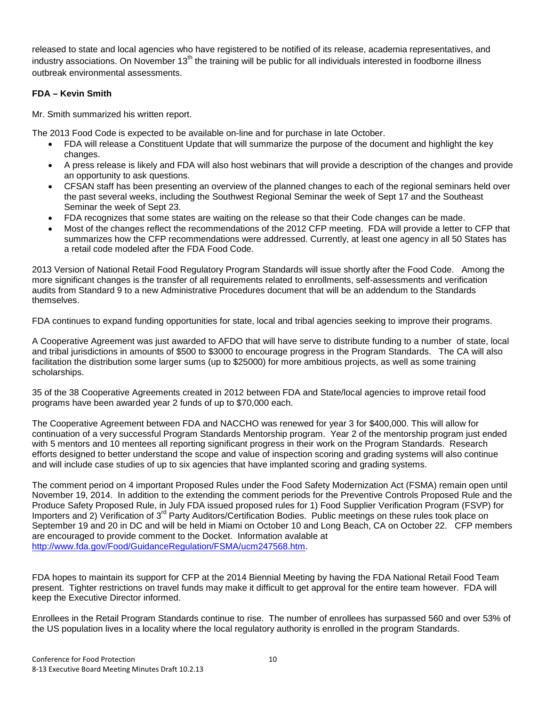released to state and local agencies who have registered to be notified of its release, academia representatives, and industry associations. On November 13<sup>th</sup> the training will be public for all individuals interested in foodborne illness outbreak environmental assessments.

### **FDA – Kevin Smith**

Mr. Smith summarized his written report.

The 2013 Food Code is expected to be available on-line and for purchase in late October.

- FDA will release a Constituent Update that will summarize the purpose of the document and highlight the key changes.
- A press release is likely and FDA will also host webinars that will provide a description of the changes and provide an opportunity to ask questions.
- CFSAN staff has been presenting an overview of the planned changes to each of the regional seminars held over the past several weeks, including the Southwest Regional Seminar the week of Sept 17 and the Southeast Seminar the week of Sept 23.
- FDA recognizes that some states are waiting on the release so that their Code changes can be made.
- Most of the changes reflect the recommendations of the 2012 CFP meeting. FDA will provide a letter to CFP that summarizes how the CFP recommendations were addressed. Currently, at least one agency in all 50 States has a retail code modeled after the FDA Food Code.

2013 Version of National Retail Food Regulatory Program Standards will issue shortly after the Food Code. Among the more significant changes is the transfer of all requirements related to enrollments, self-assessments and verification audits from Standard 9 to a new Administrative Procedures document that will be an addendum to the Standards themselves.

FDA continues to expand funding opportunities for state, local and tribal agencies seeking to improve their programs.

A Cooperative Agreement was just awarded to AFDO that will have serve to distribute funding to a number of state, local and tribal jurisdictions in amounts of \$500 to \$3000 to encourage progress in the Program Standards. The CA will also facilitation the distribution some larger sums (up to \$25000) for more ambitious projects, as well as some training scholarships.

35 of the 38 Cooperative Agreements created in 2012 between FDA and State/local agencies to improve retail food programs have been awarded year 2 funds of up to \$70,000 each.

The Cooperative Agreement between FDA and NACCHO was renewed for year 3 for \$400,000. This will allow for continuation of a very successful Program Standards Mentorship program. Year 2 of the mentorship program just ended with 5 mentors and 10 mentees all reporting significant progress in their work on the Program Standards. Research efforts designed to better understand the scope and value of inspection scoring and grading systems will also continue and will include case studies of up to six agencies that have implanted scoring and grading systems.

The comment period on 4 important Proposed Rules under the Food Safety Modernization Act (FSMA) remain open until November 19, 2014. In addition to the extending the comment periods for the Preventive Controls Proposed Rule and the Produce Safety Proposed Rule, in July FDA issued proposed rules for 1) Food Supplier Verification Program (FSVP) for Importers and 2) Verification of 3<sup>rd</sup> Party Auditors/Certification Bodies. Public meetings on these rules took place on September 19 and 20 in DC and will be held in Miami on October 10 and Long Beach, CA on October 22. CFP members are encouraged to provide comment to the Docket. Information avalable at [http://www.fda.gov/Food/GuidanceRegulation/FSMA/ucm247568.htm.](http://www.fda.gov/Food/GuidanceRegulation/FSMA/ucm247568.htm)

FDA hopes to maintain its support for CFP at the 2014 Biennial Meeting by having the FDA National Retail Food Team present. Tighter restrictions on travel funds may make it difficult to get approval for the entire team however. FDA will keep the Executive Director informed.

Enrollees in the Retail Program Standards continue to rise. The number of enrollees has surpassed 560 and over 53% of the US population lives in a locality where the local regulatory authority is enrolled in the program Standards.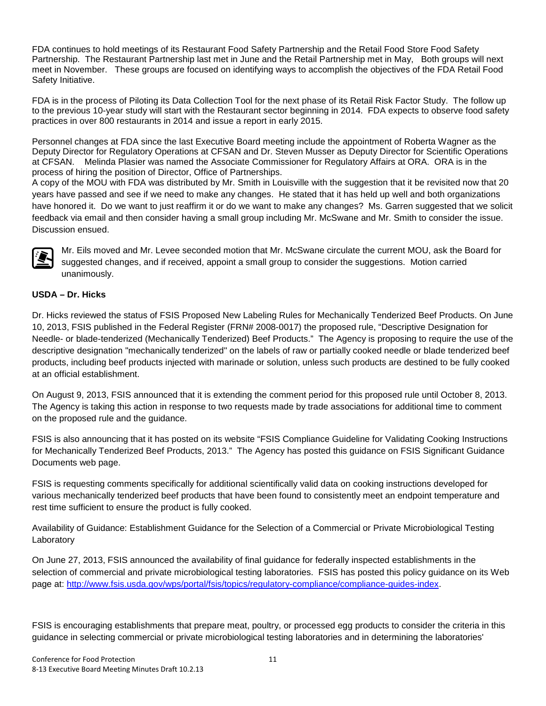FDA continues to hold meetings of its Restaurant Food Safety Partnership and the Retail Food Store Food Safety Partnership. The Restaurant Partnership last met in June and the Retail Partnership met in May, Both groups will next meet in November. These groups are focused on identifying ways to accomplish the objectives of the FDA Retail Food Safety Initiative.

FDA is in the process of Piloting its Data Collection Tool for the next phase of its Retail Risk Factor Study. The follow up to the previous 10-year study will start with the Restaurant sector beginning in 2014. FDA expects to observe food safety practices in over 800 restaurants in 2014 and issue a report in early 2015.

Personnel changes at FDA since the last Executive Board meeting include the appointment of Roberta Wagner as the Deputy Director for Regulatory Operations at CFSAN and Dr. Steven Musser as Deputy Director for Scientific Operations at CFSAN. Melinda Plasier was named the Associate Commissioner for Regulatory Affairs at ORA. ORA is in the process of hiring the position of Director, Office of Partnerships.

A copy of the MOU with FDA was distributed by Mr. Smith in Louisville with the suggestion that it be revisited now that 20 years have passed and see if we need to make any changes. He stated that it has held up well and both organizations have honored it. Do we want to just reaffirm it or do we want to make any changes? Ms. Garren suggested that we solicit feedback via email and then consider having a small group including Mr. McSwane and Mr. Smith to consider the issue. Discussion ensued.



Mr. Eils moved and Mr. Levee seconded motion that Mr. McSwane circulate the current MOU, ask the Board for suggested changes, and if received, appoint a small group to consider the suggestions. Motion carried unanimously.

# **USDA – Dr. Hicks**

Dr. Hicks reviewed the status of FSIS Proposed New Labeling Rules for Mechanically Tenderized Beef Products. On June 10, 2013, FSIS published in the Federal Register (FRN# 2008-0017) the proposed rule, "Descriptive Designation for Needle- or blade-tenderized (Mechanically Tenderized) Beef Products." The Agency is proposing to require the use of the descriptive designation "mechanically tenderized" on the labels of raw or partially cooked needle or blade tenderized beef products, including beef products injected with marinade or solution, unless such products are destined to be fully cooked at an official establishment.

On August 9, 2013, FSIS announced that it is extending the comment period for this proposed rule until October 8, 2013. The Agency is taking this action in response to two requests made by trade associations for additional time to comment on the proposed rule and the guidance.

FSIS is also announcing that it has posted on its website "FSIS Compliance Guideline for Validating Cooking Instructions for Mechanically Tenderized Beef Products, 2013." The Agency has posted this guidance on FSIS Significant Guidance Documents web page.

FSIS is requesting comments specifically for additional scientifically valid data on cooking instructions developed for various mechanically tenderized beef products that have been found to consistently meet an endpoint temperature and rest time sufficient to ensure the product is fully cooked.

Availability of Guidance: Establishment Guidance for the Selection of a Commercial or Private Microbiological Testing Laboratory

On June 27, 2013, FSIS announced the availability of final guidance for federally inspected establishments in the selection of commercial and private microbiological testing laboratories. FSIS has posted this policy guidance on its Web page at: [http://www.fsis.usda.gov/wps/portal/fsis/topics/regulatory-compliance/compliance-guides-index.](http://www.fsis.usda.gov/wps/portal/fsis/topics/regulatory-compliance/compliance-guides-index)

FSIS is encouraging establishments that prepare meat, poultry, or processed egg products to consider the criteria in this guidance in selecting commercial or private microbiological testing laboratories and in determining the laboratories'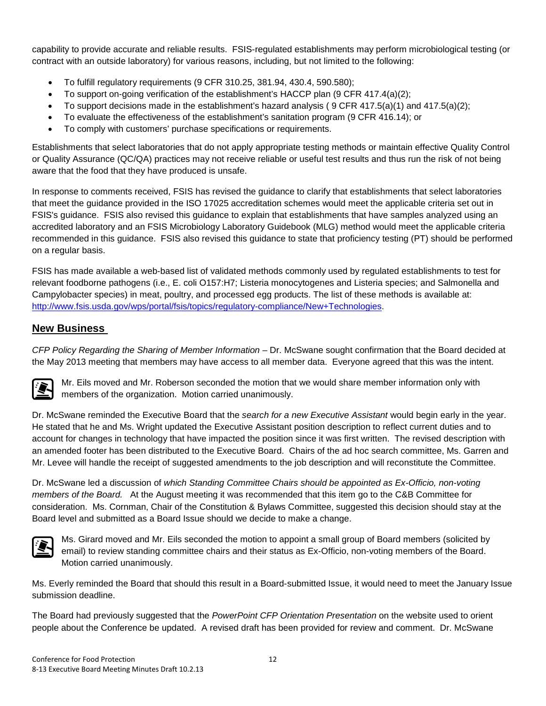capability to provide accurate and reliable results. FSIS-regulated establishments may perform microbiological testing (or contract with an outside laboratory) for various reasons, including, but not limited to the following:

- To fulfill regulatory requirements (9 CFR 310.25, 381.94, 430.4, 590.580);
- To support on-going verification of the establishment's HACCP plan (9 CFR 417.4(a)(2);
- To support decisions made in the establishment's hazard analysis (9 CFR 417.5(a)(1) and 417.5(a)(2);
- To evaluate the effectiveness of the establishment's sanitation program (9 CFR 416.14); or
- To comply with customers' purchase specifications or requirements.

Establishments that select laboratories that do not apply appropriate testing methods or maintain effective Quality Control or Quality Assurance (QC/QA) practices may not receive reliable or useful test results and thus run the risk of not being aware that the food that they have produced is unsafe.

In response to comments received, FSIS has revised the guidance to clarify that establishments that select laboratories that meet the guidance provided in the ISO 17025 accreditation schemes would meet the applicable criteria set out in FSIS's guidance. FSIS also revised this guidance to explain that establishments that have samples analyzed using an accredited laboratory and an FSIS Microbiology Laboratory Guidebook (MLG) method would meet the applicable criteria recommended in this guidance. FSIS also revised this guidance to state that proficiency testing (PT) should be performed on a regular basis.

FSIS has made available a web-based list of validated methods commonly used by regulated establishments to test for relevant foodborne pathogens (i.e., E. coli O157:H7; Listeria monocytogenes and Listeria species; and Salmonella and Campylobacter species) in meat, poultry, and processed egg products. The list of these methods is available at: [http://www.fsis.usda.gov/wps/portal/fsis/topics/regulatory-compliance/New+Technologies.](http://www.fsis.usda.gov/wps/portal/fsis/topics/regulatory-compliance/New+Technologies)

# **New Business**

*CFP Policy Regarding the Sharing of Member Information* – Dr. McSwane sought confirmation that the Board decided at the May 2013 meeting that members may have access to all member data. Everyone agreed that this was the intent.



Mr. Eils moved and Mr. Roberson seconded the motion that we would share member information only with members of the organization. Motion carried unanimously.

Dr. McSwane reminded the Executive Board that the *search for a new Executive Assistant* would begin early in the year. He stated that he and Ms. Wright updated the Executive Assistant position description to reflect current duties and to account for changes in technology that have impacted the position since it was first written. The revised description with an amended footer has been distributed to the Executive Board. Chairs of the ad hoc search committee, Ms. Garren and Mr. Levee will handle the receipt of suggested amendments to the job description and will reconstitute the Committee.

Dr. McSwane led a discussion of *which Standing Committee Chairs should be appointed as Ex-Officio, non-voting members of the Board.* At the August meeting it was recommended that this item go to the C&B Committee for consideration. Ms. Cornman, Chair of the Constitution & Bylaws Committee, suggested this decision should stay at the Board level and submitted as a Board Issue should we decide to make a change.



Ms. Girard moved and Mr. Eils seconded the motion to appoint a small group of Board members (solicited by email) to review standing committee chairs and their status as Ex-Officio, non-voting members of the Board. Motion carried unanimously.

Ms. Everly reminded the Board that should this result in a Board-submitted Issue, it would need to meet the January Issue submission deadline.

The Board had previously suggested that the *PowerPoint CFP Orientation Presentation* on the website used to orient people about the Conference be updated. A revised draft has been provided for review and comment. Dr. McSwane